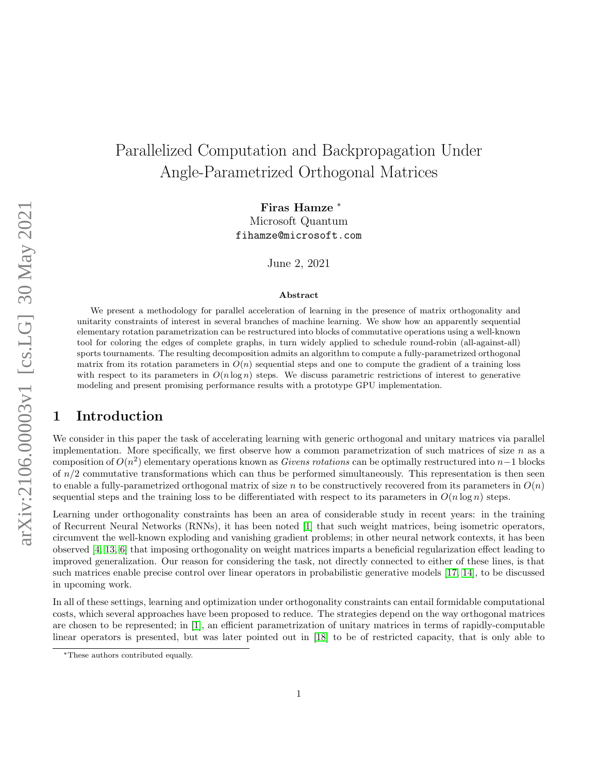# Parallelized Computation and Backpropagation Under Angle-Parametrized Orthogonal Matrices

Firas Hamze <sup>∗</sup> Microsoft Quantum fihamze@microsoft.com

June 2, 2021

#### Abstract

We present a methodology for parallel acceleration of learning in the presence of matrix orthogonality and unitarity constraints of interest in several branches of machine learning. We show how an apparently sequential elementary rotation parametrization can be restructured into blocks of commutative operations using a well-known tool for coloring the edges of complete graphs, in turn widely applied to schedule round-robin (all-against-all) sports tournaments. The resulting decomposition admits an algorithm to compute a fully-parametrized orthogonal matrix from its rotation parameters in  $O(n)$  sequential steps and one to compute the gradient of a training loss with respect to its parameters in  $O(n \log n)$  steps. We discuss parametric restrictions of interest to generative modeling and present promising performance results with a prototype GPU implementation.

### 1 Introduction

We consider in this paper the task of accelerating learning with generic orthogonal and unitary matrices via parallel implementation. More specifically, we first observe how a common parametrization of such matrices of size  $n$  as a composition of  $O(n^2)$  elementary operations known as *Givens rotations* can be optimally restructured into n−1 blocks of  $n/2$  commutative transformations which can thus be performed simultaneously. This representation is then seen to enable a fully-parametrized orthogonal matrix of size n to be constructively recovered from its parameters in  $O(n)$ sequential steps and the training loss to be differentiated with respect to its parameters in  $O(n \log n)$  steps.

Learning under orthogonality constraints has been an area of considerable study in recent years: in the training of Recurrent Neural Networks (RNNs), it has been noted [\[1\]](#page-13-0) that such weight matrices, being isometric operators, circumvent the well-known exploding and vanishing gradient problems; in other neural network contexts, it has been observed [\[4,](#page-13-1) [13,](#page-14-0) [6\]](#page-14-1) that imposing orthogonality on weight matrices imparts a beneficial regularization effect leading to improved generalization. Our reason for considering the task, not directly connected to either of these lines, is that such matrices enable precise control over linear operators in probabilistic generative models [\[17,](#page-14-2) [14\]](#page-14-3), to be discussed in upcoming work.

In all of these settings, learning and optimization under orthogonality constraints can entail formidable computational costs, which several approaches have been proposed to reduce. The strategies depend on the way orthogonal matrices are chosen to be represented; in [\[1\]](#page-13-0), an efficient parametrization of unitary matrices in terms of rapidly-computable linear operators is presented, but was later pointed out in [\[18\]](#page-14-4) to be of restricted capacity, that is only able to

<sup>∗</sup>These authors contributed equally.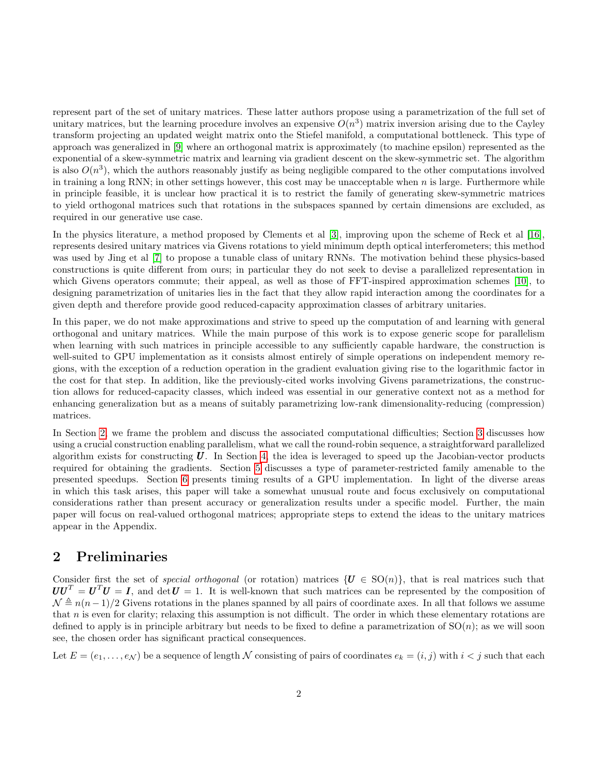represent part of the set of unitary matrices. These latter authors propose using a parametrization of the full set of unitary matrices, but the learning procedure involves an expensive  $O(n^3)$  matrix inversion arising due to the Cayley transform projecting an updated weight matrix onto the Stiefel manifold, a computational bottleneck. This type of approach was generalized in [\[9\]](#page-14-5) where an orthogonal matrix is approximately (to machine epsilon) represented as the exponential of a skew-symmetric matrix and learning via gradient descent on the skew-symmetric set. The algorithm is also  $O(n^3)$ , which the authors reasonably justify as being negligible compared to the other computations involved in training a long RNN; in other settings however, this cost may be unacceptable when  $n$  is large. Furthermore while in principle feasible, it is unclear how practical it is to restrict the family of generating skew-symmetric matrices to yield orthogonal matrices such that rotations in the subspaces spanned by certain dimensions are excluded, as required in our generative use case.

In the physics literature, a method proposed by Clements et al [\[3\]](#page-13-2), improving upon the scheme of Reck et al [\[16\]](#page-14-6), represents desired unitary matrices via Givens rotations to yield minimum depth optical interferometers; this method was used by Jing et al [\[7\]](#page-14-7) to propose a tunable class of unitary RNNs. The motivation behind these physics-based constructions is quite different from ours; in particular they do not seek to devise a parallelized representation in which Givens operators commute; their appeal, as well as those of FFT-inspired approximation schemes [\[10\]](#page-14-8), to designing parametrization of unitaries lies in the fact that they allow rapid interaction among the coordinates for a given depth and therefore provide good reduced-capacity approximation classes of arbitrary unitaries.

In this paper, we do not make approximations and strive to speed up the computation of and learning with general orthogonal and unitary matrices. While the main purpose of this work is to expose generic scope for parallelism when learning with such matrices in principle accessible to any sufficiently capable hardware, the construction is well-suited to GPU implementation as it consists almost entirely of simple operations on independent memory regions, with the exception of a reduction operation in the gradient evaluation giving rise to the logarithmic factor in the cost for that step. In addition, like the previously-cited works involving Givens parametrizations, the construction allows for reduced-capacity classes, which indeed was essential in our generative context not as a method for enhancing generalization but as a means of suitably parametrizing low-rank dimensionality-reducing (compression) matrices.

In Section [2,](#page-1-0) we frame the problem and discuss the associated computational difficulties; Section [3](#page-3-0) discusses how using a crucial construction enabling parallelism, what we call the round-robin sequence, a straightforward parallelized algorithm exists for constructing  $U$ . In Section [4,](#page-5-0) the idea is leveraged to speed up the Jacobian-vector products required for obtaining the gradients. Section [5](#page-12-0) discusses a type of parameter-restricted family amenable to the presented speedups. Section [6](#page-12-1) presents timing results of a GPU implementation. In light of the diverse areas in which this task arises, this paper will take a somewhat unusual route and focus exclusively on computational considerations rather than present accuracy or generalization results under a specific model. Further, the main paper will focus on real-valued orthogonal matrices; appropriate steps to extend the ideas to the unitary matrices appear in the Appendix.

### <span id="page-1-0"></span>2 Preliminaries

Consider first the set of *special orthogonal* (or rotation) matrices  $\{U \in SO(n)\}\$ , that is real matrices such that  $UU^T = U^TU = I$ , and  $\det U = 1$ . It is well-known that such matrices can be represented by the composition of  $\mathcal{N} \triangleq n(n-1)/2$  Givens rotations in the planes spanned by all pairs of coordinate axes. In all that follows we assume that  $n$  is even for clarity; relaxing this assumption is not difficult. The order in which these elementary rotations are defined to apply is in principle arbitrary but needs to be fixed to define a parametrization of  $SO(n)$ ; as we will soon see, the chosen order has significant practical consequences.

Let  $E = (e_1, \ldots, e_N)$  be a sequence of length N consisting of pairs of coordinates  $e_k = (i, j)$  with  $i < j$  such that each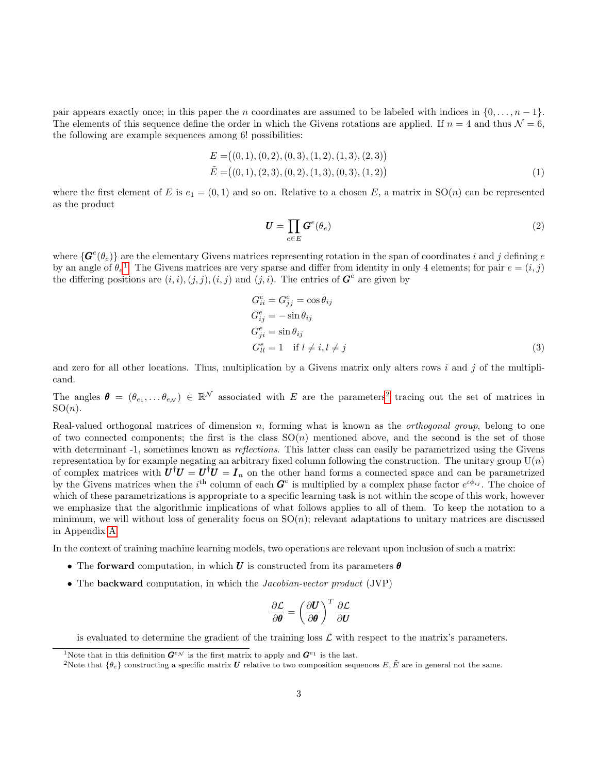pair appears exactly once; in this paper the n coordinates are assumed to be labeled with indices in  $\{0, \ldots, n-1\}$ . The elements of this sequence define the order in which the Givens rotations are applied. If  $n = 4$  and thus  $\mathcal{N} = 6$ , the following are example sequences among 6! possibilities:

$$
E = ((0, 1), (0, 2), (0, 3), (1, 2), (1, 3), (2, 3))
$$
  
\n
$$
\tilde{E} = ((0, 1), (2, 3), (0, 2), (1, 3), (0, 3), (1, 2))
$$
\n(1)

where the first element of E is  $e_1 = (0, 1)$  and so on. Relative to a chosen E, a matrix in  $SO(n)$  can be represented as the product

<span id="page-2-2"></span>
$$
\boldsymbol{U} = \prod_{e \in E} \boldsymbol{G}^e(\theta_e) \tag{2}
$$

where  $\{\bm{G}^e(\theta_e)\}\$  are the elementary Givens matrices representing rotation in the span of coordinates i and j defining e by an angle of  $\theta_e$ <sup>[1](#page-2-0)</sup>. The Givens matrices are very sparse and differ from identity in only 4 elements; for pair  $e = (i, j)$ the differing positions are  $(i, i), (j, j), (i, j)$  and  $(j, i)$ . The entries of  $\mathbf{G}^e$  are given by

$$
G_{ii}^{e} = G_{jj}^{e} = \cos \theta_{ij}
$$
  
\n
$$
G_{ij}^{e} = -\sin \theta_{ij}
$$
  
\n
$$
G_{ji}^{e} = \sin \theta_{ij}
$$
  
\n
$$
G_{ll}^{e} = 1 \quad \text{if } l \neq i, l \neq j
$$
\n(3)

and zero for all other locations. Thus, multiplication by a Givens matrix only alters rows i and j of the multiplicand.

The angles  $\boldsymbol{\theta} = (\theta_{e_1}, \dots \theta_{e_N}) \in \mathbb{R}^N$  associated with E are the parameters<sup>[2](#page-2-1)</sup> tracing out the set of matrices in  $SO(n)$ .

Real-valued orthogonal matrices of dimension  $n$ , forming what is known as the *orthogonal group*, belong to one of two connected components; the first is the class  $SO(n)$  mentioned above, and the second is the set of those with determinant -1, sometimes known as *reflections*. This latter class can easily be parametrized using the Givens representation by for example negating an arbitrary fixed column following the construction. The unitary group  $U(n)$ of complex matrices with  $U^{\dagger}U = U^{\dagger}U = I_n$  on the other hand forms a connected space and can be parametrized by the Givens matrices when the i<sup>th</sup> column of each  $G^e$  is multiplied by a complex phase factor  $e^{i\phi_{ij}}$ . The choice of which of these parametrizations is appropriate to a specific learning task is not within the scope of this work, however we emphasize that the algorithmic implications of what follows applies to all of them. To keep the notation to a minimum, we will without loss of generality focus on  $SO(n)$ ; relevant adaptations to unitary matrices are discussed in Appendix [A.](#page-14-9)

In the context of training machine learning models, two operations are relevant upon inclusion of such a matrix:

- The forward computation, in which U is constructed from its parameters  $\theta$
- The **backward** computation, in which the *Jacobian-vector product* (JVP)

$$
\frac{\partial \mathcal{L}}{\partial \boldsymbol{\theta}} = \left(\frac{\partial \boldsymbol{U}}{\partial \boldsymbol{\theta}}\right)^T \frac{\partial \mathcal{L}}{\partial \boldsymbol{U}}
$$

is evaluated to determine the gradient of the training loss  $\mathcal L$  with respect to the matrix's parameters.

<span id="page-2-0"></span><sup>&</sup>lt;sup>1</sup>Note that in this definition  $\mathbf{G}^{e,v}$  is the first matrix to apply and  $\mathbf{G}^{e_1}$  is the last.

<span id="page-2-1"></span><sup>&</sup>lt;sup>2</sup>Note that  $\{\theta_e\}$  constructing a specific matrix **U** relative to two composition sequences E,  $\tilde{E}$  are in general not the same.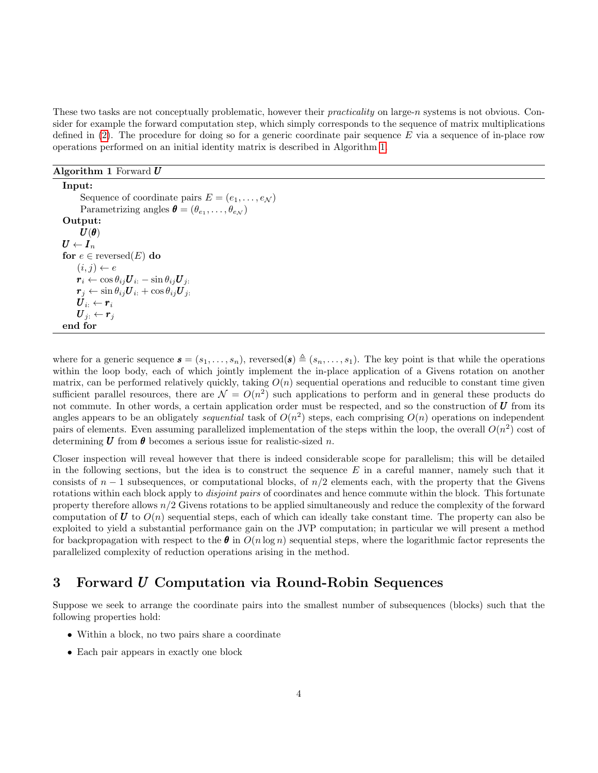These two tasks are not conceptually problematic, however their *practicality* on large-n systems is not obvious. Consider for example the forward computation step, which simply corresponds to the sequence of matrix multiplications defined in  $(2)$ . The procedure for doing so for a generic coordinate pair sequence E via a sequence of in-place row operations performed on an initial identity matrix is described in Algorithm [1.](#page-3-1)

<span id="page-3-1"></span>Algorithm 1 Forward  $U$ 

Input: Sequence of coordinate pairs  $E = (e_1, \ldots, e_N)$ Parametrizing angles  $\boldsymbol{\theta} = (\theta_{e_1}, \dots, \theta_{e_N})$ Output:  $\bm{U}(\bm{\theta})$  $\boldsymbol{U} \leftarrow \boldsymbol{I}_n$ for  $e \in \text{reversed}(E)$  do  $(i, j) \leftarrow e$  $\boldsymbol{r}_i \leftarrow \cos \theta_{ij} \boldsymbol{U}_{i:} - \sin \theta_{ij} \boldsymbol{U}_{j:}$  $\boldsymbol{r}_j \leftarrow \sin \theta_{ij} \boldsymbol{U}_{i:} + \cos \theta_{ij} \boldsymbol{U}_{j:}$  $\boldsymbol{U}_{i:} \leftarrow \boldsymbol{r}_{i}$  $\boldsymbol{U}_{j:} \leftarrow \boldsymbol{r}_{j}$ end for

where for a generic sequence  $\mathbf{s} = (s_1, \ldots, s_n)$ , reversed( $\mathbf{s}$ )  $\triangleq$   $(s_n, \ldots, s_1)$ . The key point is that while the operations within the loop body, each of which jointly implement the in-place application of a Givens rotation on another matrix, can be performed relatively quickly, taking  $O(n)$  sequential operations and reducible to constant time given sufficient parallel resources, there are  $\mathcal{N} = O(n^2)$  such applications to perform and in general these products do not commute. In other words, a certain application order must be respected, and so the construction of  $U$  from its angles appears to be an obligately *sequential* task of  $O(n^2)$  steps, each comprising  $O(n)$  operations on independent pairs of elements. Even assuming parallelized implementation of the steps within the loop, the overall  $O(n^2)$  cost of determining  $\boldsymbol{U}$  from  $\boldsymbol{\theta}$  becomes a serious issue for realistic-sized n.

Closer inspection will reveal however that there is indeed considerable scope for parallelism; this will be detailed in the following sections, but the idea is to construct the sequence  $E$  in a careful manner, namely such that it consists of  $n-1$  subsequences, or computational blocks, of  $n/2$  elements each, with the property that the Givens rotations within each block apply to *disjoint pairs* of coordinates and hence commute within the block. This fortunate property therefore allows n/2 Givens rotations to be applied simultaneously and reduce the complexity of the forward computation of  $\bf{U}$  to  $O(n)$  sequential steps, each of which can ideally take constant time. The property can also be exploited to yield a substantial performance gain on the JVP computation; in particular we will present a method for backpropagation with respect to the  $\theta$  in  $O(n \log n)$  sequential steps, where the logarithmic factor represents the parallelized complexity of reduction operations arising in the method.

### <span id="page-3-0"></span>3 Forward U Computation via Round-Robin Sequences

Suppose we seek to arrange the coordinate pairs into the smallest number of subsequences (blocks) such that the following properties hold:

- Within a block, no two pairs share a coordinate
- Each pair appears in exactly one block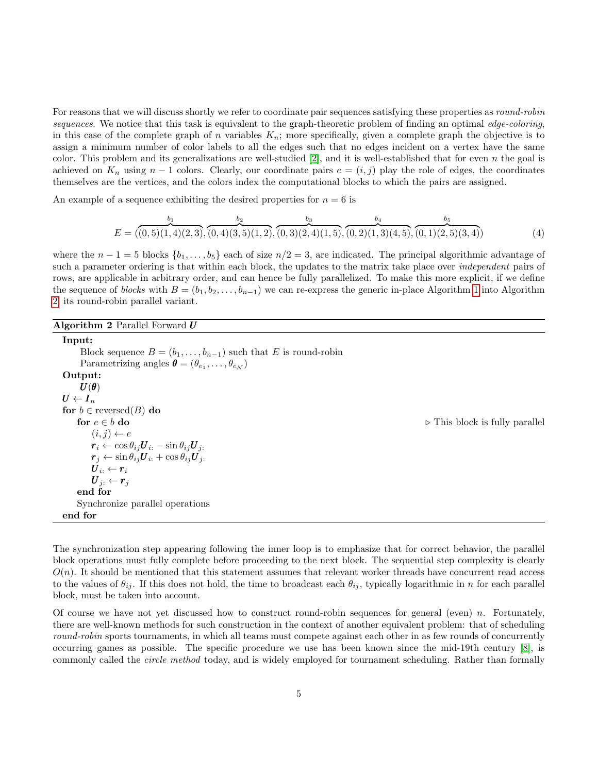For reasons that we will discuss shortly we refer to coordinate pair sequences satisfying these properties as round-robin sequences. We notice that this task is equivalent to the graph-theoretic problem of finding an optimal edge-coloring, in this case of the complete graph of n variables  $K_n$ ; more specifically, given a complete graph the objective is to assign a minimum number of color labels to all the edges such that no edges incident on a vertex have the same color. This problem and its generalizations are well-studied  $[2]$ , and it is well-established that for even n the goal is achieved on  $K_n$  using  $n-1$  colors. Clearly, our coordinate pairs  $e = (i, j)$  play the role of edges, the coordinates themselves are the vertices, and the colors index the computational blocks to which the pairs are assigned.

An example of a sequence exhibiting the desired properties for  $n = 6$  is

<span id="page-4-1"></span>
$$
E = \overbrace{(0,5)(1,4)(2,3), (0,4)(3,5)(1,2), (0,3)(2,4)(1,5), (0,2)(1,3)(4,5), (0,1)(2,5)(3,4))}^{b_3} \tag{4}
$$

where the  $n-1=5$  blocks  $\{b_1,\ldots,b_5\}$  each of size  $n/2=3$ , are indicated. The principal algorithmic advantage of such a parameter ordering is that within each block, the updates to the matrix take place over *independent* pairs of rows, are applicable in arbitrary order, and can hence be fully parallelized. To make this more explicit, if we define the sequence of blocks with  $B = (b_1, b_2, \ldots, b_{n-1})$  we can re-express the generic in-place Algorithm [1](#page-3-1) into Algorithm [2,](#page-4-0) its round-robin parallel variant.

<span id="page-4-0"></span>

| Algorithm 2 Parallel Forward $U$                                                             |                                               |
|----------------------------------------------------------------------------------------------|-----------------------------------------------|
| Input:                                                                                       |                                               |
| Block sequence $B = (b_1, \ldots, b_{n-1})$ such that E is round-robin                       |                                               |
| Parametrizing angles $\boldsymbol{\theta} = (\theta_{e_1}, \dots, \theta_{e_N})$             |                                               |
| Output:                                                                                      |                                               |
| $\bm{U}(\bm{\theta})$                                                                        |                                               |
| $\boldsymbol{U} \leftarrow \boldsymbol{I}_n$                                                 |                                               |
| for $b \in$ reversed $(B)$ do                                                                |                                               |
| for $e \in b$ do                                                                             | $\triangleright$ This block is fully parallel |
| $(i, j) \leftarrow e$                                                                        |                                               |
| $r_i \leftarrow \cos \theta_{ij} \boldsymbol{U}_{i:} - \sin \theta_{ij} \boldsymbol{U}_{j:}$ |                                               |
| $\mathbf{r}_i \leftarrow \sin \theta_{ij} \mathbf{U}_{i} + \cos \theta_{ij} \mathbf{U}_{j}$  |                                               |
| $\boldsymbol{U}_i \leftarrow \boldsymbol{r}_i$                                               |                                               |
| $\boldsymbol{U}_j$ $\leftarrow$ $\boldsymbol{r}_j$                                           |                                               |
| end for                                                                                      |                                               |
| Synchronize parallel operations                                                              |                                               |
| end for                                                                                      |                                               |
|                                                                                              |                                               |

The synchronization step appearing following the inner loop is to emphasize that for correct behavior, the parallel block operations must fully complete before proceeding to the next block. The sequential step complexity is clearly  $O(n)$ . It should be mentioned that this statement assumes that relevant worker threads have concurrent read access to the values of  $\theta_{ij}$ . If this does not hold, the time to broadcast each  $\theta_{ij}$ , typically logarithmic in n for each parallel block, must be taken into account.

Of course we have not yet discussed how to construct round-robin sequences for general (even)  $n$ . Fortunately, there are well-known methods for such construction in the context of another equivalent problem: that of scheduling round-robin sports tournaments, in which all teams must compete against each other in as few rounds of concurrently occurring games as possible. The specific procedure we use has been known since the mid-19th century [\[8\]](#page-14-10), is commonly called the *circle method* today, and is widely employed for tournament scheduling. Rather than formally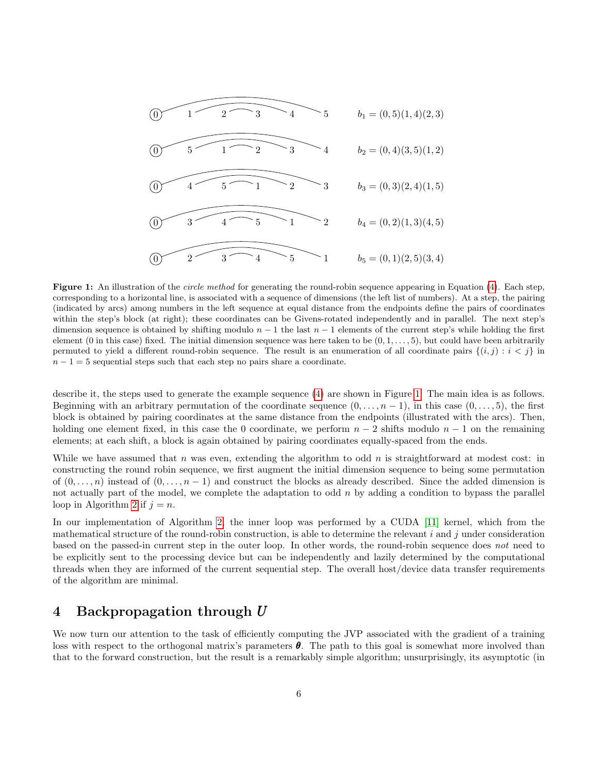<span id="page-5-1"></span>

Figure 1: An illustration of the *circle method* for generating the round-robin sequence appearing in Equation [\(4\)](#page-4-1). Each step, corresponding to a horizontal line, is associated with a sequence of dimensions (the left list of numbers). At a step, the pairing (indicated by arcs) among numbers in the left sequence at equal distance from the endpoints define the pairs of coordinates within the step's block (at right); these coordinates can be Givens-rotated independently and in parallel. The next step's dimension sequence is obtained by shifting modulo  $n - 1$  the last  $n - 1$  elements of the current step's while holding the first element (0 in this case) fixed. The initial dimension sequence was here taken to be  $(0, 1, \ldots, 5)$ , but could have been arbitrarily permuted to yield a different round-robin sequence. The result is an enumeration of all coordinate pairs  $\{(i,j) : i < j\}$  in  $n - 1 = 5$  sequential steps such that each step no pairs share a coordinate.

describe it, the steps used to generate the example sequence [\(4\)](#page-4-1) are shown in Figure [1.](#page-5-1) The main idea is as follows. Beginning with an arbitrary permutation of the coordinate sequence  $(0, \ldots, n-1)$ , in this case  $(0, \ldots, 5)$ , the first block is obtained by pairing coordinates at the same distance from the endpoints (illustrated with the arcs). Then, holding one element fixed, in this case the 0 coordinate, we perform  $n-2$  shifts modulo  $n-1$  on the remaining elements; at each shift, a block is again obtained by pairing coordinates equally-spaced from the ends.

While we have assumed that n was even, extending the algorithm to odd n is straightforward at modest cost: in constructing the round robin sequence, we first augment the initial dimension sequence to being some permutation of  $(0, \ldots, n)$  instead of  $(0, \ldots, n-1)$  and construct the blocks as already described. Since the added dimension is not actually part of the model, we complete the adaptation to odd  $n$  by adding a condition to bypass the parallel loop in Algorithm [2](#page-4-0) if  $j = n$ .

In our implementation of Algorithm [2,](#page-4-0) the inner loop was performed by a CUDA [\[11\]](#page-14-11) kernel, which from the mathematical structure of the round-robin construction, is able to determine the relevant  $i$  and  $j$  under consideration based on the passed-in current step in the outer loop. In other words, the round-robin sequence does not need to be explicitly sent to the processing device but can be independently and lazily determined by the computational threads when they are informed of the current sequential step. The overall host/device data transfer requirements of the algorithm are minimal.

## <span id="page-5-0"></span>4 Backpropagation through U

We now turn our attention to the task of efficiently computing the JVP associated with the gradient of a training loss with respect to the orthogonal matrix's parameters  $\theta$ . The path to this goal is somewhat more involved than that to the forward construction, but the result is a remarkably simple algorithm; unsurprisingly, its asymptotic (in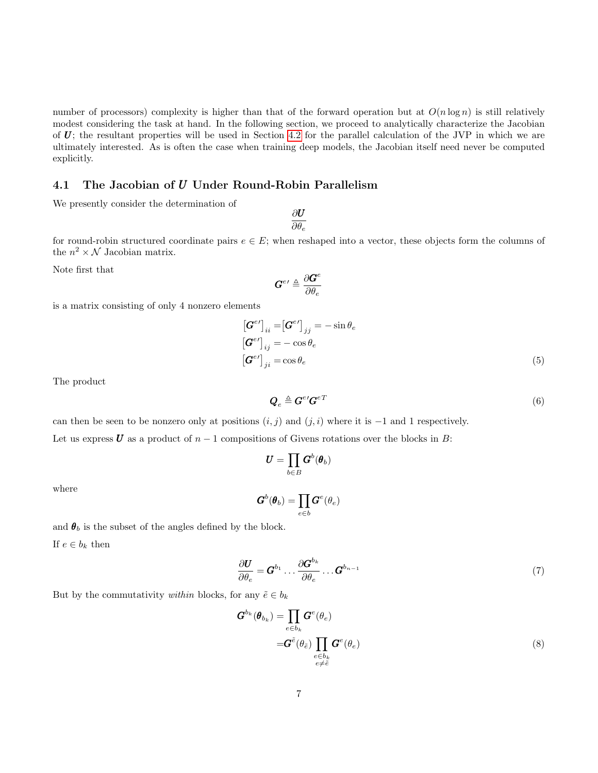number of processors) complexity is higher than that of the forward operation but at  $O(n \log n)$  is still relatively modest considering the task at hand. In the following section, we proceed to analytically characterize the Jacobian of  $U$ ; the resultant properties will be used in Section [4.2](#page-8-0) for the parallel calculation of the JVP in which we are ultimately interested. As is often the case when training deep models, the Jacobian itself need never be computed explicitly.

### 4.1 The Jacobian of U Under Round-Robin Parallelism

We presently consider the determination of

∂U  $\partial \theta_e$ 

for round-robin structured coordinate pairs  $e \in E$ ; when reshaped into a vector, these objects form the columns of the  $n^2 \times \mathcal{N}$  Jacobian matrix.

Note first that

$$
\bm{G}^{e\prime} \triangleq \frac{\partial \bm{G}^{e}}{\partial \theta_{e}}
$$

is a matrix consisting of only 4 nonzero elements

$$
\begin{aligned}\n\left[\mathbf{G}^{e\prime}\right]_{ii} &= \left[\mathbf{G}^{e\prime}\right]_{jj} = -\sin\theta_e \\
\left[\mathbf{G}^{e\prime}\right]_{ij} &= -\cos\theta_e \\
\left[\mathbf{G}^{e\prime}\right]_{ji} &= \cos\theta_e\n\end{aligned} \tag{5}
$$

The product

<span id="page-6-0"></span>
$$
\mathbf{Q}_e \triangleq \mathbf{G}^{e} \mathbf{G}^{e} \mathbf{T} \tag{6}
$$

can then be seen to be nonzero only at positions  $(i, j)$  and  $(j, i)$  where it is  $-1$  and 1 respectively. Let us express U as a product of  $n-1$  compositions of Givens rotations over the blocks in B:

$$
\pmb U = \prod_{b \in B} \pmb G^b(\pmb \theta_b)
$$

where

<span id="page-6-1"></span>
$$
G^b(\theta_b) = \prod_{e \in b} G^e(\theta_e)
$$

and  $\theta_b$  is the subset of the angles defined by the block. If  $e \in b_k$  then

$$
\frac{\partial \boldsymbol{U}}{\partial \theta_e} = \boldsymbol{G}^{b_1} \dots \frac{\partial \boldsymbol{G}^{b_k}}{\partial \theta_e} \dots \boldsymbol{G}^{b_{n-1}} \tag{7}
$$

But by the commutativity *within* blocks, for any  $\tilde{e} \in b_k$ 

$$
G^{b_k}(\theta_{b_k}) = \prod_{e \in b_k} G^e(\theta_e)
$$
  

$$
= G^{\tilde{e}}(\theta_{\tilde{e}}) \prod_{\substack{e \in b_k \\ e \neq \tilde{e}}} G^e(\theta_e)
$$
 (8)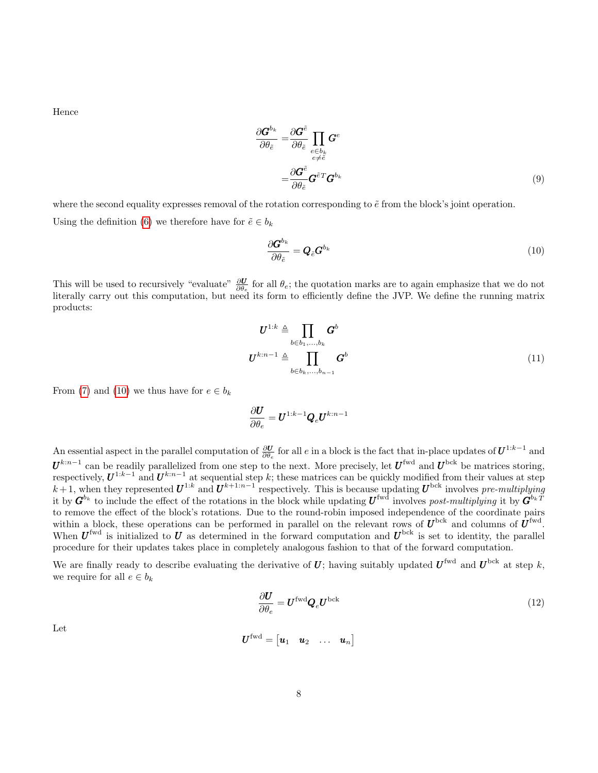Hence

$$
\frac{\partial \boldsymbol{G}^{b_k}}{\partial \theta_{\tilde{e}}} = \frac{\partial \boldsymbol{G}^{\tilde{e}}}{\partial \theta_{\tilde{e}}} \prod_{\substack{e \in b_k \\ e \neq \tilde{e}}} \boldsymbol{G}^e
$$
\n
$$
= \frac{\partial \boldsymbol{G}^{\tilde{e}}}{\partial \theta_{\tilde{e}}} \boldsymbol{G}^{\tilde{e}T} \boldsymbol{G}^{b_k} \tag{9}
$$

where the second equality expresses removal of the rotation corresponding to  $\tilde{e}$  from the block's joint operation. Using the definition [\(6\)](#page-6-0) we therefore have for  $\tilde{e} \in b_k$ 

<span id="page-7-0"></span>
$$
\frac{\partial \boldsymbol{G}^{b_k}}{\partial \theta_{\tilde{e}}} = \boldsymbol{Q}_{\tilde{e}} \boldsymbol{G}^{b_k} \tag{10}
$$

This will be used to recursively "evaluate"  $\frac{\partial U}{\partial \theta_e}$  for all  $\theta_e$ ; the quotation marks are to again emphasize that we do not literally carry out this computation, but need its form to efficiently define the JVP. We define the running matrix products:

$$
\boldsymbol{U}^{1:k} \triangleq \prod_{b \in b_1, \dots, b_k} \boldsymbol{G}^b
$$
\n
$$
\boldsymbol{U}^{k:n-1} \triangleq \prod_{b \in b_k, \dots, b_{n-1}} \boldsymbol{G}^b
$$
\n(11)

From [\(7\)](#page-6-1) and [\(10\)](#page-7-0) we thus have for  $e \in b_k$ 

$$
\frac{\partial \boldsymbol{U}}{\partial \theta_e} = \boldsymbol{U}^{1:k-1} \boldsymbol{Q}_e \boldsymbol{U}^{k:n-1}
$$

An essential aspect in the parallel computation of  $\frac{\partial U}{\partial \theta}$  for all e in a block is the fact that in-place updates of  $\bm{U}^{1:k-1}$  and  $\partial \theta_e$  $U^{k:n-1}$  can be readily parallelized from one step to the next. More precisely, let  $U^{\text{fwd}}$  and  $U^{\text{bck}}$  be matrices storing, respectively,  $U^{1:k-1}$  and  $U^{k:n-1}$  at sequential step k; these matrices can be quickly modified from their values at step  $k+1$ , when they represented  $\boldsymbol{U}^{1:k}$  and  $\boldsymbol{U}^{k+1:n-1}$  respectively. This is because updating  $\boldsymbol{U}^{bck}$  involves pre-multiplying it by  $G^{b_k}$  to include the effect of the rotations in the block while updating  $U^{\text{fwd}}$  involves post-multiplying it by  $G^{b_k T}$ to remove the effect of the block's rotations. Due to the round-robin imposed independence of the coordinate pairs within a block, these operations can be performed in parallel on the relevant rows of  $U^{\text{bck}}$  and columns of  $U^{\text{fwd}}$ . When  $U^{\text{fwd}}$  is initialized to U as determined in the forward computation and  $U^{\text{bck}}$  is set to identity, the parallel procedure for their updates takes place in completely analogous fashion to that of the forward computation.

We are finally ready to describe evaluating the derivative of U; having suitably updated  $U^{\text{fwd}}$  and  $U^{\text{bck}}$  at step k, we require for all  $e \in b_k$ 

<span id="page-7-1"></span>
$$
\frac{\partial U}{\partial \theta_e} = U^{\text{fwd}} Q_e U^{\text{bck}} \tag{12}
$$

Let

$$
\boldsymbol{U}^{\text{fwd}} = \begin{bmatrix} \boldsymbol{u}_1 & \boldsymbol{u}_2 & \dots & \boldsymbol{u}_n \end{bmatrix}
$$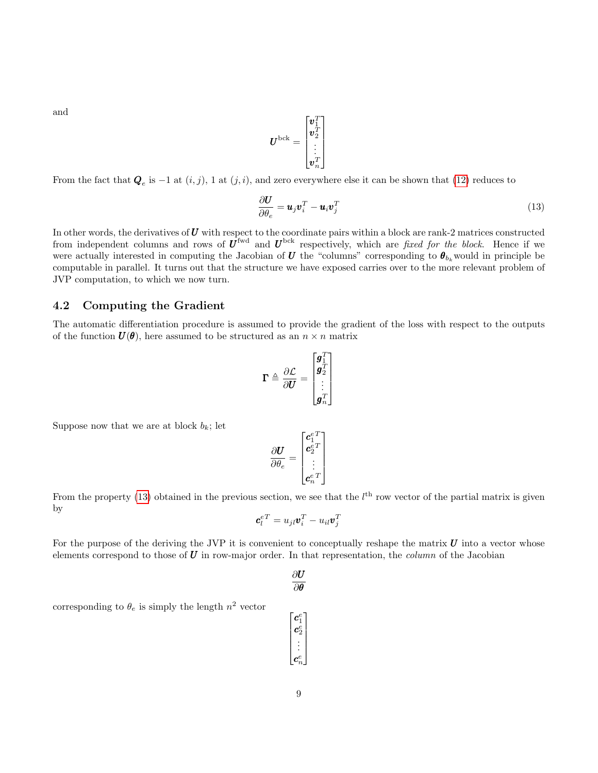and

$$
\boldsymbol{U}^{\text{bck}}=\begin{bmatrix} \boldsymbol{v}_1^T \\ \boldsymbol{v}_2^T \\ \vdots \\ \boldsymbol{v}_n^T \end{bmatrix}
$$

From the fact that  $\mathbf{Q}_e$  is  $-1$  at  $(i, j)$ , 1 at  $(j, i)$ , and zero everywhere else it can be shown that [\(12\)](#page-7-1) reduces to

<span id="page-8-1"></span>
$$
\frac{\partial \mathbf{U}}{\partial \theta_e} = \mathbf{u}_j \mathbf{v}_i^T - \mathbf{u}_i \mathbf{v}_j^T
$$
 (13)

In other words, the derivatives of  $U$  with respect to the coordinate pairs within a block are rank-2 matrices constructed from independent columns and rows of  $U^{\text{fwd}}$  and  $U^{\text{bck}}$  respectively, which are *fixed for the block*. Hence if we were actually interested in computing the Jacobian of  $U$  the "columns" corresponding to  $\theta_{b_k}$  would in principle be computable in parallel. It turns out that the structure we have exposed carries over to the more relevant problem of JVP computation, to which we now turn.

#### <span id="page-8-0"></span>4.2 Computing the Gradient

The automatic differentiation procedure is assumed to provide the gradient of the loss with respect to the outputs of the function  $U(\theta)$ , here assumed to be structured as an  $n \times n$  matrix

$$
\boldsymbol{\Gamma} \triangleq \frac{\partial \mathcal{L}}{\partial \boldsymbol{U}} = \begin{bmatrix} \boldsymbol{g}_1^T \\ \boldsymbol{g}_2^T \\ \vdots \\ \boldsymbol{g}_n^T \end{bmatrix}
$$

Suppose now that we are at block  $b_k$ ; let

$$
\frac{\partial \boldsymbol{U}}{\partial \theta_e} = \begin{bmatrix} \boldsymbol{c}^{e\,T}_{1} \\ \boldsymbol{c}^{e\,T}_{2} \\ \vdots \\ \boldsymbol{c}^{e\,T}_{n} \end{bmatrix}
$$

From the property [\(13\)](#page-8-1) obtained in the previous section, we see that the  $l<sup>th</sup>$  row vector of the partial matrix is given by

$$
\boldsymbol{c}^{eT}_{l} = u_{jl}\boldsymbol{v}^{T}_{i} - u_{il}\boldsymbol{v}^{T}_{j}
$$

For the purpose of the deriving the JVP it is convenient to conceptually reshape the matrix  $U$  into a vector whose elements correspond to those of  $U$  in row-major order. In that representation, the *column* of the Jacobian

$$
\frac{\partial U}{\partial \boldsymbol{\theta}}
$$

 $\lceil$  $\overline{1}$  $\overline{1}$  $\overline{1}$  $\overline{1}$ 

c e  $\bm{c}^e_2$ . . . c e n 1  $\overline{1}$  $\overline{1}$  $\overline{1}$  $\overline{1}$ 

corresponding to  $\theta_e$  is simply the length  $n^2$  vector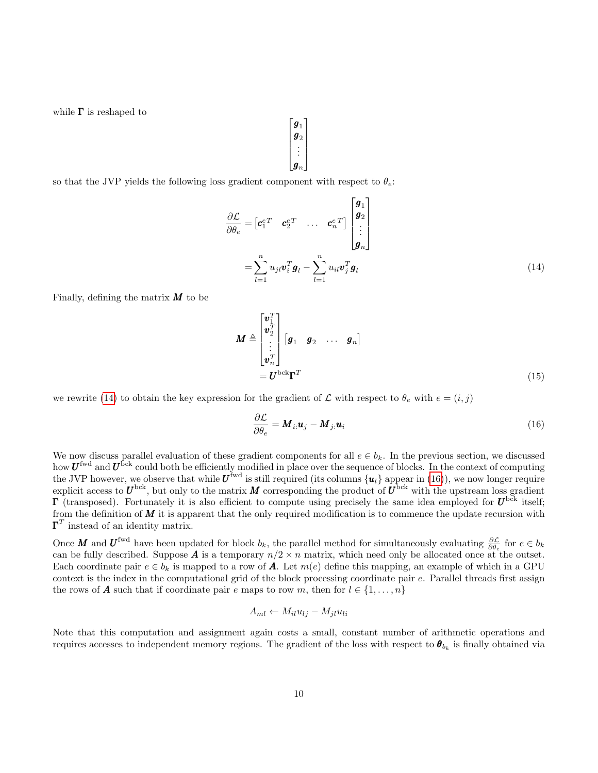while  $\Gamma$  is reshaped to

so that the JVP yields the following loss gradient component with respect to  $\theta_e$ .

$$
\frac{\partial \mathcal{L}}{\partial \theta_e} = \begin{bmatrix} \mathbf{c}_1^{eT} & \mathbf{c}_2^{eT} & \dots & \mathbf{c}_n^{eT} \end{bmatrix} \begin{bmatrix} \mathbf{g}_1 \\ \mathbf{g}_2 \\ \vdots \\ \mathbf{g}_n \end{bmatrix}
$$

$$
= \sum_{l=1}^n u_{jl} \mathbf{v}_i^T \mathbf{g}_l - \sum_{l=1}^n u_{il} \mathbf{v}_j^T \mathbf{g}_l
$$
(14)

Finally, defining the matrix  $M$  to be

$$
\boldsymbol{M} \triangleq \begin{bmatrix} \boldsymbol{v}_1^T \\ \boldsymbol{v}_2^T \\ \vdots \\ \boldsymbol{v}_n^T \end{bmatrix} \begin{bmatrix} \boldsymbol{g}_1 & \boldsymbol{g}_2 & \dots & \boldsymbol{g}_n \end{bmatrix} \\ = \boldsymbol{U}^{\text{bck}} \boldsymbol{\Gamma}^T
$$
\n(15)

we rewrite [\(14\)](#page-9-0) to obtain the key expression for the gradient of  $\mathcal L$  with respect to  $\theta_e$  with  $e = (i, j)$ 

<span id="page-9-1"></span>
$$
\frac{\partial \mathcal{L}}{\partial \theta_e} = \mathbf{M}_{i:} \mathbf{u}_j - \mathbf{M}_{j:} \mathbf{u}_i
$$
\n(16)

We now discuss parallel evaluation of these gradient components for all  $e \in b_k$ . In the previous section, we discussed how  $U^{\text{fwd}}$  and  $U^{\text{fck}}$  could both be efficiently modified in place over the sequence of blocks. In the context of computing the JVP however, we observe that while  $U^{\text{fwd}}$  is still required (its columns  $\{u_l\}$  appear in [\(16\)](#page-9-1)), we now longer require explicit access to  $U^{\text{bck}}$ , but only to the matrix M corresponding the product of  $U^{\text{bck}}$  with the upstream loss gradient  $\Gamma$  (transposed). Fortunately it is also efficient to compute using precisely the same idea employed for  $U^{\text{bck}}$  itself; from the definition of  $M$  it is apparent that the only required modification is to commence the update recursion with  $\mathbf{\Gamma}^T$  instead of an identity matrix.

 $\int g_1$ 

1

<span id="page-9-0"></span>

  $\boldsymbol{g}_2$ . . .  $\boldsymbol{g}_n$ 

Once **M** and  $\boldsymbol{U}^{\text{fwd}}$  have been updated for block  $b_k$ , the parallel method for simultaneously evaluating  $\frac{\partial \mathcal{L}}{\partial \theta_e}$  for  $e \in b_k$ can be fully described. Suppose **A** is a temporary  $n/2 \times n$  matrix, which need only be allocated once at the outset. Each coordinate pair  $e \in b_k$  is mapped to a row of A. Let  $m(e)$  define this mapping, an example of which in a GPU context is the index in the computational grid of the block processing coordinate pair  $e$ . Parallel threads first assign the rows of **A** such that if coordinate pair e maps to row m, then for  $l \in \{1, ..., n\}$ 

$$
A_{ml} \leftarrow M_{il}u_{lj} - M_{jl}u_{li}
$$

Note that this computation and assignment again costs a small, constant number of arithmetic operations and requires accesses to independent memory regions. The gradient of the loss with respect to  $\bm{\theta}_{b_k}$  is finally obtained via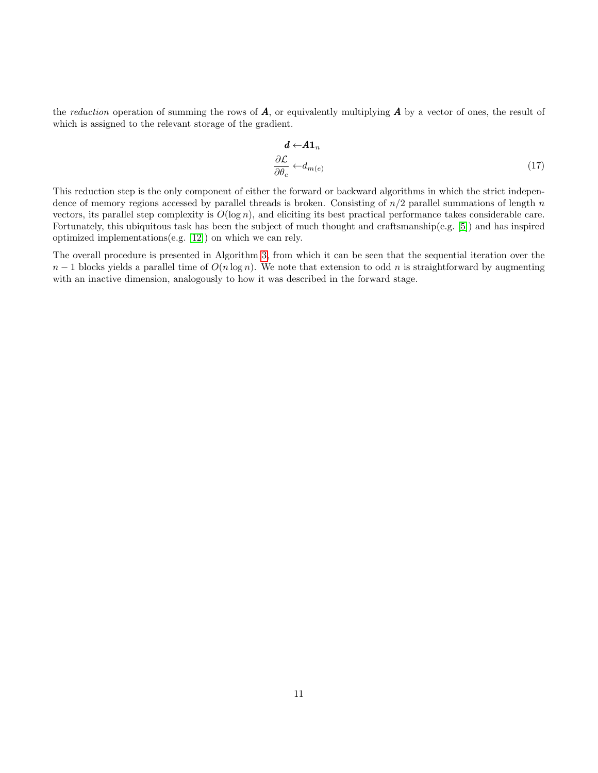the reduction operation of summing the rows of  $A$ , or equivalently multiplying  $A$  by a vector of ones, the result of which is assigned to the relevant storage of the gradient.

$$
\frac{d \leftarrow A1_n}{\partial \theta_e} \leftarrow d_{m(e)} \tag{17}
$$

This reduction step is the only component of either the forward or backward algorithms in which the strict independence of memory regions accessed by parallel threads is broken. Consisting of  $n/2$  parallel summations of length n vectors, its parallel step complexity is  $O(\log n)$ , and eliciting its best practical performance takes considerable care. Fortunately, this ubiquitous task has been the subject of much thought and craftsmanship(e.g. [\[5\]](#page-13-4)) and has inspired optimized implementations(e.g. [\[12\]](#page-14-12)) on which we can rely.

The overall procedure is presented in Algorithm [3,](#page-11-0) from which it can be seen that the sequential iteration over the  $n-1$  blocks yields a parallel time of  $O(n \log n)$ . We note that extension to odd n is straightforward by augmenting with an inactive dimension, analogously to how it was described in the forward stage.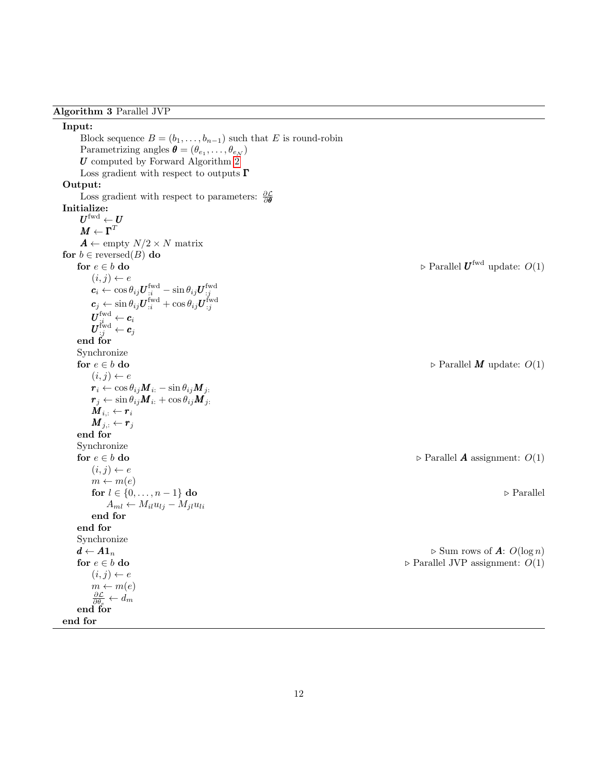<span id="page-11-0"></span>Algorithm 3 Parallel JVP

Input: Block sequence  $B = (b_1, \ldots, b_{n-1})$  such that E is round-robin Parametrizing angles  $\boldsymbol{\theta} = (\theta_{e_1}, \dots, \theta_{e_N})$  $U$  computed by Forward Algorithm [2](#page-4-0) Loss gradient with respect to outputs  $\Gamma$ Output: Loss gradient with respect to parameters:  $\frac{\partial \mathcal{L}}{\partial \theta}$ Initialize:  $\boldsymbol{U}^{\text{fwd}} \leftarrow \boldsymbol{U}$  $\boldsymbol{M} \leftarrow \boldsymbol{\Gamma}^T$  $\boldsymbol{A} \leftarrow \text{empty } N/2 \times N \text{ matrix}$ for  $b \in$  reversed(B) do for  $e \in b$  do  $\Box$  Parallel  $\boldsymbol{U}^{\text{fwd}}$  update:  $O(1)$  $(i, j) \leftarrow e$  $\boldsymbol{c}_i \leftarrow \cos \theta_{ij} \boldsymbol{U}_{:i}^{\text{fwd}} - \sin \theta_{ij} \boldsymbol{U}_{:j}^{\text{fwd}}$  $\boldsymbol{c}_j \leftarrow \sin \theta_{ij} \boldsymbol{U}_{:i}^{\text{fwd}} + \cos \theta_{ij} \boldsymbol{U}_{:j}^{\text{fwd}}$  $\boldsymbol{U}_{;i}^{\text{fwd}} \leftarrow \boldsymbol{c}_i$  $\boldsymbol{U}_{:j}^{\text{fwd}} \leftarrow \boldsymbol{c}_j$ end for Synchronize for  $e \in b$  do  $\Rightarrow$  Parallel M update:  $O(1)$  $(i, j) \leftarrow e$  $r_i \leftarrow \cos \theta_{ij} M_{i:} - \sin \theta_{ij} M_{j:}$  $r_j \leftarrow \sin \theta_{ij} M_{i:} + \cos \theta_{ij} M_{j:}$  $\check{\bm{M}}_{i,:} \leftarrow \bm{r}_i$  $\boldsymbol{M}_{j,:} \leftarrow \boldsymbol{r}_j$ end for Synchronize for  $e \in b$  do  $\Box$  Parallel A assignment:  $O(1)$  $(i, j) \leftarrow e$  $m \leftarrow m(e)$ for  $l \in \{0, \ldots, n-1\}$  do  $\Box$  Parallel  $A_{ml} \leftarrow M_{il}u_{lj} - M_{jl}u_{li}$ end for end for Synchronize  $d \leftarrow A1_n$ <br>  $\triangleright$  Sum rows of  $A: O(\log n)$ <br>  $\triangleright$  Parallel JVP assignment:  $O(1)$  $\triangleright$  Parallel JVP assignment:  $O(1)$  $(i, j) \leftarrow e$  $m \leftarrow m(e)$  $\frac{\partial \mathcal{L}}{\partial \theta_e} \leftarrow d_m$ end for end for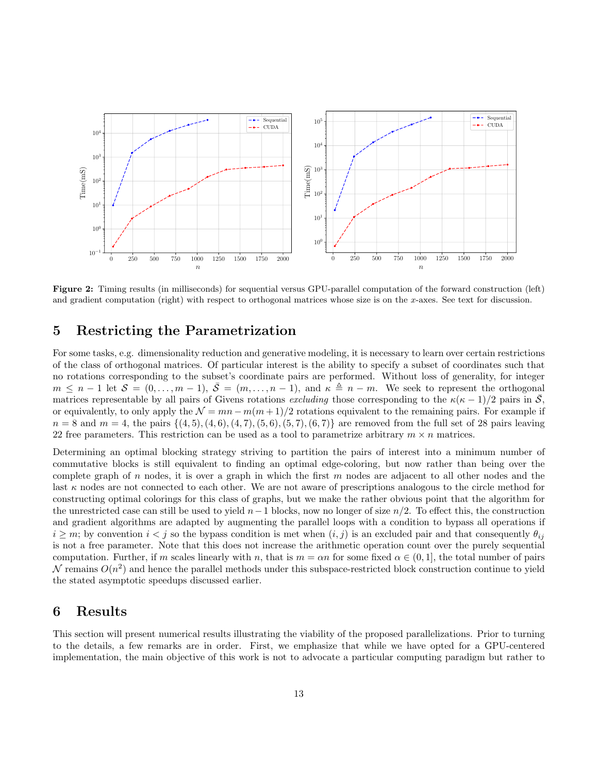<span id="page-12-2"></span>

Figure 2: Timing results (in milliseconds) for sequential versus GPU-parallel computation of the forward construction (left) and gradient computation (right) with respect to orthogonal matrices whose size is on the x-axes. See text for discussion.

### <span id="page-12-0"></span>5 Restricting the Parametrization

For some tasks, e.g. dimensionality reduction and generative modeling, it is necessary to learn over certain restrictions of the class of orthogonal matrices. Of particular interest is the ability to specify a subset of coordinates such that no rotations corresponding to the subset's coordinate pairs are performed. Without loss of generality, for integer  $m \leq n-1$  let  $\mathcal{S} = (0, \ldots, m-1), \overline{\mathcal{S}} = (m, \ldots, n-1),$  and  $\kappa \triangleq n-m$ . We seek to represent the orthogonal matrices representable by all pairs of Givens rotations excluding those corresponding to the  $\kappa(\kappa-1)/2$  pairs in  $\overline{S}$ , or equivalently, to only apply the  $\mathcal{N} = mn - m(m+1)/2$  rotations equivalent to the remaining pairs. For example if  $n = 8$  and  $m = 4$ , the pairs  $\{(4, 5), (4, 6), (4, 7), (5, 6), (5, 7), (6, 7)\}$  are removed from the full set of 28 pairs leaving 22 free parameters. This restriction can be used as a tool to parametrize arbitrary  $m \times n$  matrices.

Determining an optimal blocking strategy striving to partition the pairs of interest into a minimum number of commutative blocks is still equivalent to finding an optimal edge-coloring, but now rather than being over the complete graph of n nodes, it is over a graph in which the first  $m$  nodes are adjacent to all other nodes and the last  $\kappa$  nodes are not connected to each other. We are not aware of prescriptions analogous to the circle method for constructing optimal colorings for this class of graphs, but we make the rather obvious point that the algorithm for the unrestricted case can still be used to yield  $n-1$  blocks, now no longer of size  $n/2$ . To effect this, the construction and gradient algorithms are adapted by augmenting the parallel loops with a condition to bypass all operations if  $i \geq m$ ; by convention  $i < j$  so the bypass condition is met when  $(i, j)$  is an excluded pair and that consequently  $\theta_{ij}$ is not a free parameter. Note that this does not increase the arithmetic operation count over the purely sequential computation. Further, if m scales linearly with n, that is  $m = \alpha n$  for some fixed  $\alpha \in (0, 1]$ , the total number of pairs  $\mathcal N$  remains  $O(n^2)$  and hence the parallel methods under this subspace-restricted block construction continue to yield the stated asymptotic speedups discussed earlier.

### <span id="page-12-1"></span>6 Results

This section will present numerical results illustrating the viability of the proposed parallelizations. Prior to turning to the details, a few remarks are in order. First, we emphasize that while we have opted for a GPU-centered implementation, the main objective of this work is not to advocate a particular computing paradigm but rather to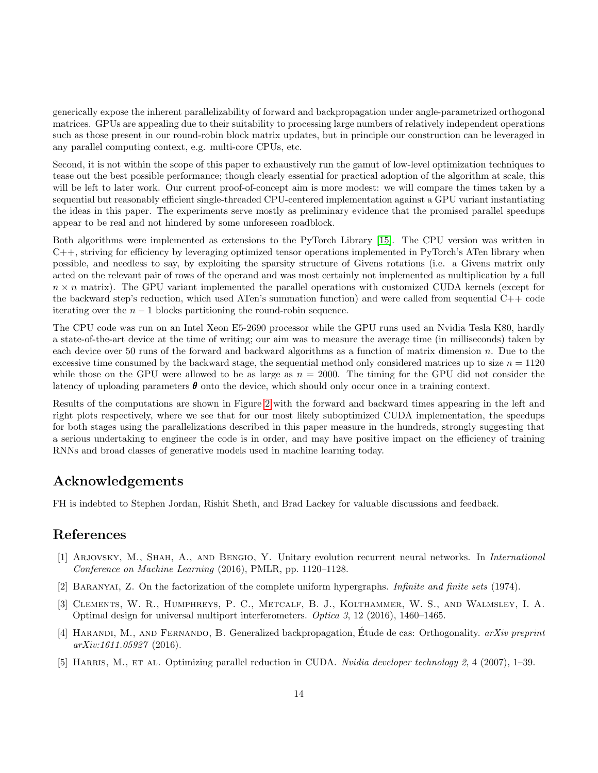generically expose the inherent parallelizability of forward and backpropagation under angle-parametrized orthogonal matrices. GPUs are appealing due to their suitability to processing large numbers of relatively independent operations such as those present in our round-robin block matrix updates, but in principle our construction can be leveraged in any parallel computing context, e.g. multi-core CPUs, etc.

Second, it is not within the scope of this paper to exhaustively run the gamut of low-level optimization techniques to tease out the best possible performance; though clearly essential for practical adoption of the algorithm at scale, this will be left to later work. Our current proof-of-concept aim is more modest: we will compare the times taken by a sequential but reasonably efficient single-threaded CPU-centered implementation against a GPU variant instantiating the ideas in this paper. The experiments serve mostly as preliminary evidence that the promised parallel speedups appear to be real and not hindered by some unforeseen roadblock.

Both algorithms were implemented as extensions to the PyTorch Library [\[15\]](#page-14-13). The CPU version was written in C++, striving for efficiency by leveraging optimized tensor operations implemented in PyTorch's ATen library when possible, and needless to say, by exploiting the sparsity structure of Givens rotations (i.e. a Givens matrix only acted on the relevant pair of rows of the operand and was most certainly not implemented as multiplication by a full  $n \times n$  matrix). The GPU variant implemented the parallel operations with customized CUDA kernels (except for the backward step's reduction, which used ATen's summation function) and were called from sequential C++ code iterating over the  $n - 1$  blocks partitioning the round-robin sequence.

The CPU code was run on an Intel Xeon E5-2690 processor while the GPU runs used an Nvidia Tesla K80, hardly a state-of-the-art device at the time of writing; our aim was to measure the average time (in milliseconds) taken by each device over 50 runs of the forward and backward algorithms as a function of matrix dimension n. Due to the excessive time consumed by the backward stage, the sequential method only considered matrices up to size  $n = 1120$ while those on the GPU were allowed to be as large as  $n = 2000$ . The timing for the GPU did not consider the latency of uploading parameters  $\theta$  onto the device, which should only occur once in a training context.

Results of the computations are shown in Figure [2](#page-12-2) with the forward and backward times appearing in the left and right plots respectively, where we see that for our most likely suboptimized CUDA implementation, the speedups for both stages using the parallelizations described in this paper measure in the hundreds, strongly suggesting that a serious undertaking to engineer the code is in order, and may have positive impact on the efficiency of training RNNs and broad classes of generative models used in machine learning today.

### Acknowledgements

FH is indebted to Stephen Jordan, Rishit Sheth, and Brad Lackey for valuable discussions and feedback.

### References

- <span id="page-13-0"></span>[1] ARJOVSKY, M., SHAH, A., AND BENGIO, Y. Unitary evolution recurrent neural networks. In *International* Conference on Machine Learning (2016), PMLR, pp. 1120–1128.
- <span id="page-13-3"></span>[2] Baranyai, Z. On the factorization of the complete uniform hypergraphs. Infinite and finite sets (1974).
- <span id="page-13-2"></span>[3] Clements, W. R., Humphreys, P. C., Metcalf, B. J., Kolthammer, W. S., and Walmsley, I. A. Optimal design for universal multiport interferometers. Optica 3, 12 (2016), 1460–1465.
- <span id="page-13-1"></span>[4] HARANDI, M., AND FERNANDO, B. Generalized backpropagation, Étude de cas: Orthogonality.  $arXiv$  preprint arXiv:1611.05927 (2016).
- <span id="page-13-4"></span>[5] HARRIS, M., ET AL. Optimizing parallel reduction in CUDA. Nvidia developer technology 2, 4 (2007), 1–39.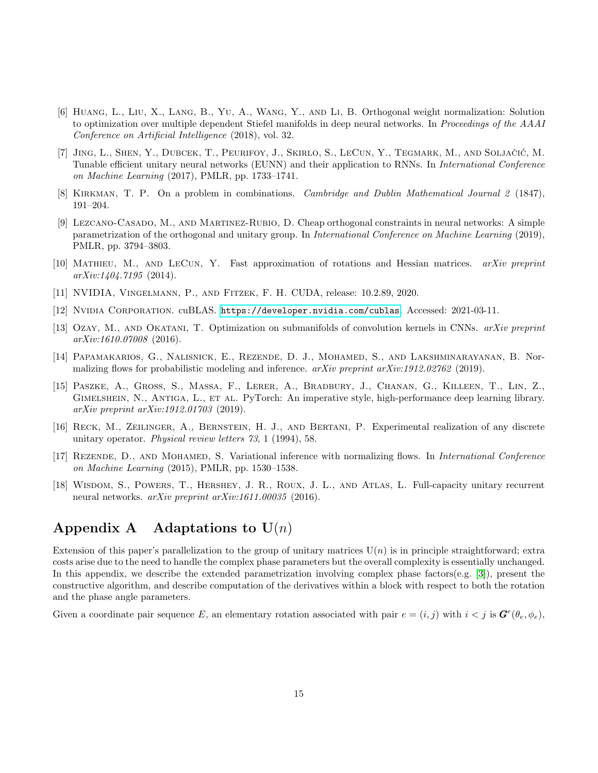- <span id="page-14-1"></span>[6] Huang, L., Liu, X., Lang, B., Yu, A., Wang, Y., and Li, B. Orthogonal weight normalization: Solution to optimization over multiple dependent Stiefel manifolds in deep neural networks. In Proceedings of the AAAI Conference on Artificial Intelligence (2018), vol. 32.
- <span id="page-14-7"></span>[7] JING, L., SHEN, Y., DUBCEK, T., PEURIFOY, J., SKIRLO, S., LECUN, Y., TEGMARK, M., AND SOLJAČIĆ, M. Tunable efficient unitary neural networks (EUNN) and their application to RNNs. In International Conference on Machine Learning (2017), PMLR, pp. 1733–1741.
- <span id="page-14-10"></span>[8] Kirkman, T. P. On a problem in combinations. Cambridge and Dublin Mathematical Journal 2 (1847), 191–204.
- <span id="page-14-5"></span>[9] Lezcano-Casado, M., and Martınez-Rubio, D. Cheap orthogonal constraints in neural networks: A simple parametrization of the orthogonal and unitary group. In International Conference on Machine Learning (2019), PMLR, pp. 3794–3803.
- <span id="page-14-8"></span>[10] Mathieu, M., and LeCun, Y. Fast approximation of rotations and Hessian matrices. arXiv preprint  $arXiv:1404.7195$  (2014).
- <span id="page-14-11"></span>[11] NVIDIA, Vingelmann, P., and Fitzek, F. H. CUDA, release: 10.2.89, 2020.
- <span id="page-14-12"></span>[12] Nvidia Corporation. cuBLAS. <https://developer.nvidia.com/cublas>. Accessed: 2021-03-11.
- <span id="page-14-0"></span>[13] OZAY, M., AND OKATANI, T. Optimization on submanifolds of convolution kernels in CNNs. arXiv preprint arXiv:1610.07008 (2016).
- <span id="page-14-3"></span>[14] Papamakarios, G., Nalisnick, E., Rezende, D. J., Mohamed, S., and Lakshminarayanan, B. Normalizing flows for probabilistic modeling and inference.  $arXiv$  preprint  $arXiv:1912.02762$  (2019).
- <span id="page-14-13"></span>[15] Paszke, A., Gross, S., Massa, F., Lerer, A., Bradbury, J., Chanan, G., Killeen, T., Lin, Z., Gimelshein, N., Antiga, L., et al. PyTorch: An imperative style, high-performance deep learning library. arXiv preprint arXiv:1912.01703 (2019).
- <span id="page-14-6"></span>[16] Reck, M., Zeilinger, A., Bernstein, H. J., and Bertani, P. Experimental realization of any discrete unitary operator. Physical review letters 73, 1 (1994), 58.
- <span id="page-14-2"></span>[17] REZENDE, D., AND MOHAMED, S. Variational inference with normalizing flows. In *International Conference* on Machine Learning (2015), PMLR, pp. 1530–1538.
- <span id="page-14-4"></span>[18] Wisdom, S., Powers, T., Hershey, J. R., Roux, J. L., and Atlas, L. Full-capacity unitary recurrent neural networks. *arXiv preprint arXiv:1611.00035* (2016).

# <span id="page-14-9"></span>Appendix A Adaptations to  $U(n)$

Extension of this paper's parallelization to the group of unitary matrices  $U(n)$  is in principle straightforward; extra costs arise due to the need to handle the complex phase parameters but the overall complexity is essentially unchanged. In this appendix, we describe the extended parametrization involving complex phase factors(e.g. [\[3\]](#page-13-2)), present the constructive algorithm, and describe computation of the derivatives within a block with respect to both the rotation and the phase angle parameters.

Given a coordinate pair sequence E, an elementary rotation associated with pair  $e = (i, j)$  with  $i < j$  is  $\mathbf{G}^e(\theta_e, \phi_e)$ ,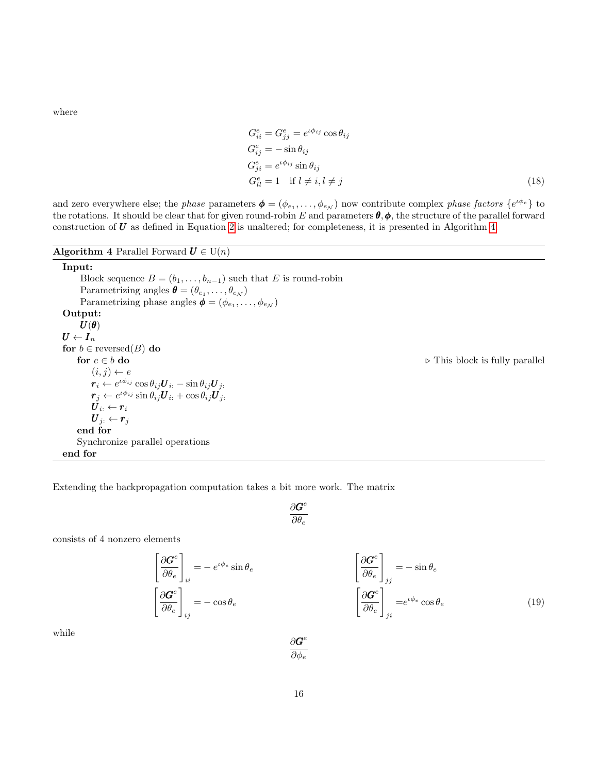where

$$
G_{ii}^{e} = G_{jj}^{e} = e^{\iota \phi_{ij}} \cos \theta_{ij}
$$
  
\n
$$
G_{ij}^{e} = -\sin \theta_{ij}
$$
  
\n
$$
G_{ji}^{e} = e^{\iota \phi_{ij}} \sin \theta_{ij}
$$
  
\n
$$
G_{ll}^{e} = 1 \text{ if } l \neq i, l \neq j
$$
\n(18)

and zero everywhere else; the *phase* parameters  $\boldsymbol{\phi} = (\phi_{e_1}, \dots, \phi_{e_N})$  now contribute complex *phase factors*  $\{e^{i\phi_e}\}$  to the rotations. It should be clear that for given round-robin E and parameters  $\theta$ ,  $\phi$ , the structure of the parallel forward construction of  $U$  as defined in Equation [2](#page-2-2) is unaltered; for completeness, it is presented in Algorithm [4.](#page-15-0)

<span id="page-15-0"></span>Algorithm 4 Parallel Forward  $U \in U(n)$ 

Input: Block sequence  $B = (b_1, \ldots, b_{n-1})$  such that E is round-robin Parametrizing angles  $\boldsymbol{\theta} = (\theta_{e_1}, \dots, \theta_{e_N})$ Parametrizing phase angles  $\boldsymbol{\phi} = (\phi_{e_1}, \dots, \phi_{e_N})$ Output:  $\boldsymbol{U}(\boldsymbol{\theta})$  $\boldsymbol{U} \leftarrow \boldsymbol{I}_n$ for  $b \in$  reversed $(B)$  do for  $e \in b$  do . This block is fully parallel  $(i, j) \leftarrow e$  $\boldsymbol{r}_i \leftarrow e^{\iota \phi_{ij}} \cos \theta_{ij} \boldsymbol{U}_{i:} - \sin \theta_{ij} \boldsymbol{U}_{j:}$  $\boldsymbol{r}_j \leftarrow e^{\iota \phi_{ij}} \sin \theta_{ij} \boldsymbol{U}_{i:} + \cos \theta_{ij} \boldsymbol{U}_{j:}$  $\boldsymbol{U}_{i:} \leftarrow \boldsymbol{r}_{i}$  $\overline{\boldsymbol{U}_j}$ :  $\leftarrow \overline{\boldsymbol{r}_j}$ end for Synchronize parallel operations

end for

Extending the backpropagation computation takes a bit more work. The matrix

 $\partial G^e$  $\partial \theta_e$ 

consists of 4 nonzero elements

$$
\left[\frac{\partial \mathbf{G}^e}{\partial \theta_e}\right]_{ii} = -e^{i\phi_e} \sin \theta_e
$$

$$
\left[\frac{\partial \mathbf{G}^e}{\partial \theta_e}\right]_{ij} = -\cos \theta_e
$$

$$
\left[\frac{\partial \mathbf{G}^e}{\partial \theta_e}\right]_{jj} = -\sin \theta_e
$$
\n
$$
\left[\frac{\partial \mathbf{G}^e}{\partial \theta_e}\right]_{ji} = e^{i\phi_e} \cos \theta_e
$$
\n(19)

while

 $\partial G^e$  $\overline{\partial \phi_e}$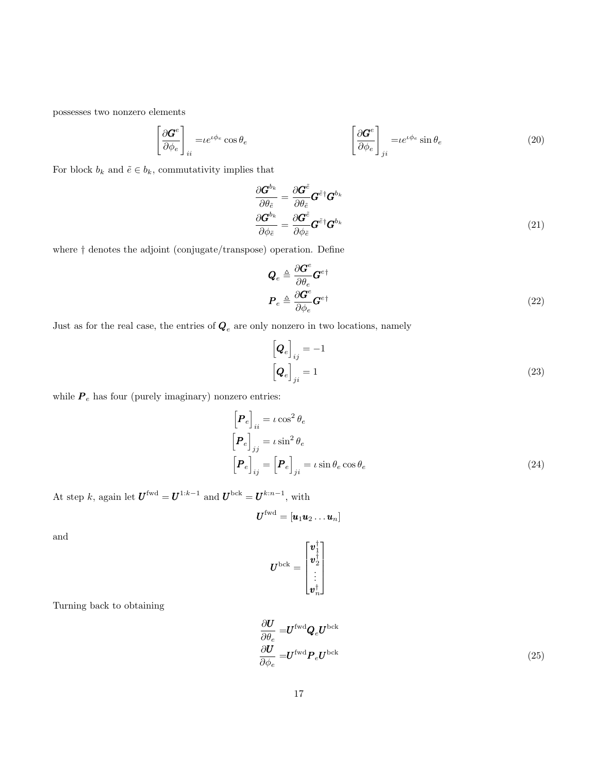possesses two nonzero elements

$$
\left[\frac{\partial \mathbf{G}^e}{\partial \phi_e}\right]_{ii} = i e^{i \phi_e} \cos \theta_e \qquad \qquad \left[\frac{\partial \mathbf{G}^e}{\partial \phi_e}\right]_{ji} = i e^{i \phi_e} \sin \theta_e \qquad (20)
$$

For block  $b_k$  and  $\tilde{e} \in b_k,$  commutativity implies that

$$
\frac{\partial \boldsymbol{G}^{b_k}}{\partial \theta_{\tilde{e}}} = \frac{\partial \boldsymbol{G}^{\tilde{e}}}{\partial \theta_{\tilde{e}}} \boldsymbol{G}^{\tilde{e}\dagger} \boldsymbol{G}^{b_k}
$$
\n
$$
\frac{\partial \boldsymbol{G}^{b_k}}{\partial \phi_{\tilde{e}}} = \frac{\partial \boldsymbol{G}^{\tilde{e}}}{\partial \phi_{\tilde{e}}} \boldsymbol{G}^{\tilde{e}\dagger} \boldsymbol{G}^{b_k}
$$
\n(21)

where † denotes the adjoint (conjugate/transpose) operation. Define

$$
Q_e \triangleq \frac{\partial \boldsymbol{G}^e}{\partial \theta_e} \boldsymbol{G}^{e\dagger}
$$
  

$$
\boldsymbol{P}_e \triangleq \frac{\partial \boldsymbol{G}^e}{\partial \phi_e} \boldsymbol{G}^{e\dagger}
$$
 (22)

Just as for the real case, the entries of  $\boldsymbol{Q}_{e}$  are only nonzero in two locations, namely

$$
\left[\mathbf{Q}_e\right]_{ij} = -1
$$
\n
$$
\left[\mathbf{Q}_e\right]_{ji} = 1
$$
\n(23)

while  $P_e$  has four (purely imaginary) nonzero entries:

$$
\begin{aligned}\n\left[\mathbf{P}_e\right]_{ii} &= \iota \cos^2 \theta_e \\
\left[\mathbf{P}_e\right]_{jj} &= \iota \sin^2 \theta_e \\
\left[\mathbf{P}_e\right]_{ij} &= \left[\mathbf{P}_e\right]_{ji} = \iota \sin \theta_e \cos \theta_e\n\end{aligned} \tag{24}
$$

At step k, again let  $\boldsymbol{U}^{\text{fwd}} = \boldsymbol{U}^{1:k-1}$  and  $\boldsymbol{U}^{\text{bck}} = \boldsymbol{U}^{k:n-1}$ , with

$$
\bm{U}^{\text{fwd}} = \left[\bm{u}_1\bm{u}_2\dots\bm{u}_n\right]
$$

and

$$
\boldsymbol{U}^{\text{bck}}=\begin{bmatrix} \boldsymbol{v}_1^\dagger \\ \boldsymbol{v}_2^\dagger \\ \vdots \\ \boldsymbol{v}_n^\dagger \end{bmatrix}
$$

Turning back to obtaining

$$
\frac{\partial \boldsymbol{U}}{\partial \theta_e} = \boldsymbol{U}^{\text{fwd}} \boldsymbol{Q}_e \boldsymbol{U}^{\text{bck}}
$$
\n
$$
\frac{\partial \boldsymbol{U}}{\partial \phi_e} = \boldsymbol{U}^{\text{fwd}} \boldsymbol{P}_e \boldsymbol{U}^{\text{bck}}
$$
\n(25)